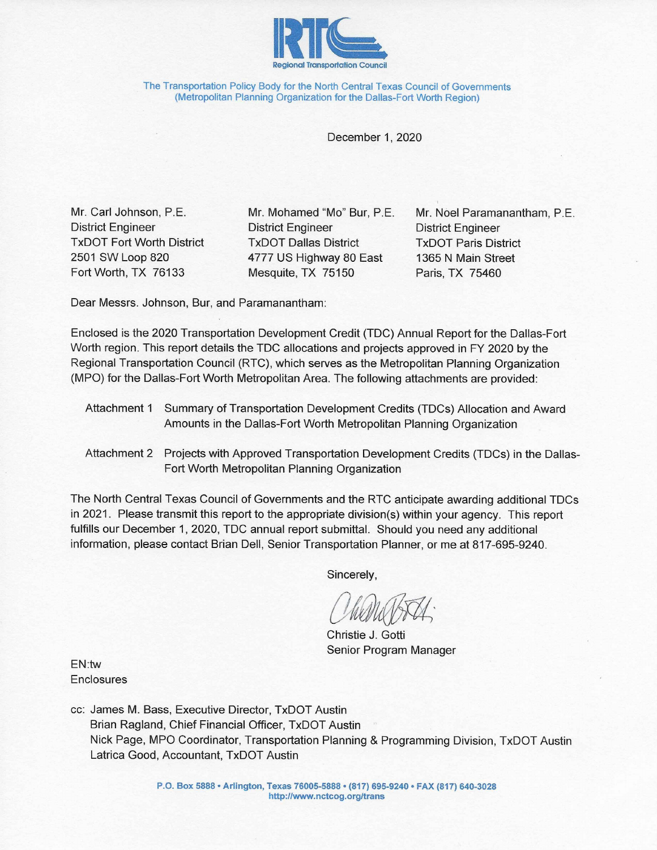

The Transportation Policy Body for the North Central Texas Council of Governments (Metropolitan Planning Organization for the Dallas-Fort Worth Region)

December 1, 2020

Mr. Carl Johnson, P.E. **District Engineer TxDOT Fort Worth District** 2501 SW Loop 820 Fort Worth, TX 76133

Mr. Mohamed "Mo" Bur, P.E. **District Engineer TxDOT Dallas District** 4777 US Highway 80 East Mesquite, TX 75150

Mr. Noel Paramanantham, P.E. **District Engineer TxDOT Paris District** 1365 N Main Street Paris, TX 75460

Dear Messrs. Johnson, Bur, and Paramanantham:

Enclosed is the 2020 Transportation Development Credit (TDC) Annual Report for the Dallas-Fort Worth region. This report details the TDC allocations and projects approved in FY 2020 by the Regional Transportation Council (RTC), which serves as the Metropolitan Planning Organization (MPO) for the Dallas-Fort Worth Metropolitan Area. The following attachments are provided:

- Attachment 1 Summary of Transportation Development Credits (TDCs) Allocation and Award Amounts in the Dallas-Fort Worth Metropolitan Planning Organization
- Attachment 2 Projects with Approved Transportation Development Credits (TDCs) in the Dallas-Fort Worth Metropolitan Planning Organization

The North Central Texas Council of Governments and the RTC anticipate awarding additional TDCs in 2021. Please transmit this report to the appropriate division(s) within your agency. This report fulfills our December 1, 2020, TDC annual report submittal. Should you need any additional information, please contact Brian Dell, Senior Transportation Planner, or me at 817-695-9240.

Sincerely.

Christie J. Gotti Senior Program Manager

FN:tw Enclosures

cc: James M. Bass, Executive Director, TxDOT Austin Brian Ragland, Chief Financial Officer, TxDOT Austin Nick Page, MPO Coordinator, Transportation Planning & Programming Division, TxDOT Austin Latrica Good, Accountant, TxDOT Austin

> P.O. Box 5888 · Arlington, Texas 76005-5888 · (817) 695-9240 · FAX (817) 640-3028 http://www.nctcog.org/trans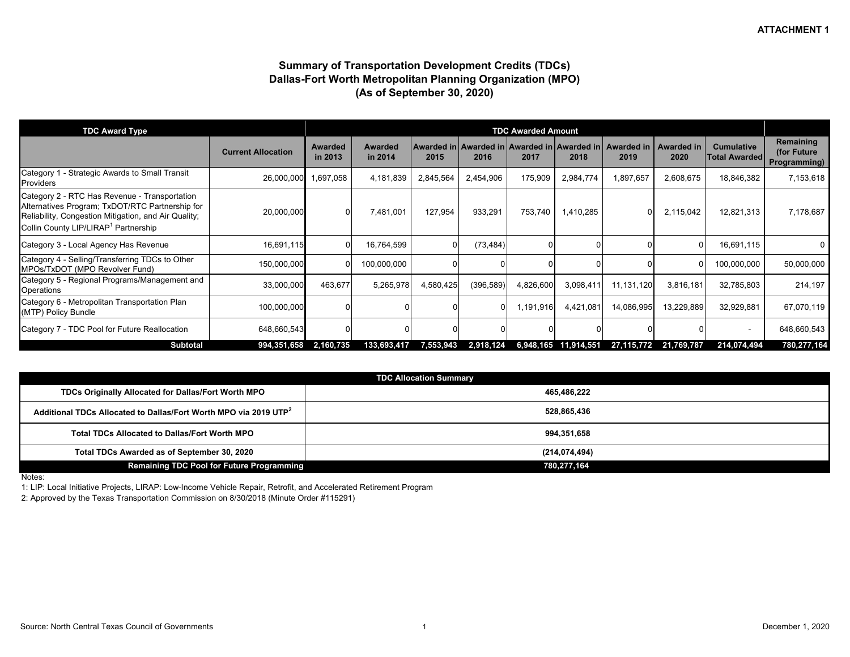#### **Summary of Transportation Development Credits (TDCs) Dallas-Fort Worth Metropolitan Planning Organization (MPO) (As of September 30, 2020)**

| <b>TDC Award Type</b>                                                                                                                                                                                        |                           |                    |                    |           |            | <b>TDC Awarded Amount</b> |                      |                                                                |                           |                                           |                                          |
|--------------------------------------------------------------------------------------------------------------------------------------------------------------------------------------------------------------|---------------------------|--------------------|--------------------|-----------|------------|---------------------------|----------------------|----------------------------------------------------------------|---------------------------|-------------------------------------------|------------------------------------------|
|                                                                                                                                                                                                              | <b>Current Allocation</b> | Awarded<br>in 2013 | Awarded<br>in 2014 | 2015      | 2016       | 2017                      | 2018                 | Awarded in Awarded in Awarded in Awarded in Awarded in<br>2019 | <b>Awarded in</b><br>2020 | <b>Cumulative</b><br><b>Total Awarded</b> | Remaining<br>(for Future<br>Programming) |
| Category 1 - Strategic Awards to Small Transit<br>Providers                                                                                                                                                  | 26,000,000                | ,697,058           | 4,181,839          | 2,845,564 | 2,454,906  | 175,909                   | 2,984,774            | 1,897,657                                                      | 2,608,675                 | 18,846,382                                | 7,153,618                                |
| Category 2 - RTC Has Revenue - Transportation<br>Alternatives Program; TxDOT/RTC Partnership for<br>Reliability, Congestion Mitigation, and Air Quality;<br>Collin County LIP/LIRAP <sup>1</sup> Partnership | 20,000,000                |                    | 7,481,001          | 127,954   | 933,291    | 753,740                   | 1,410,285            |                                                                | 2,115,042                 | 12,821,313                                | 7,178,687                                |
| Category 3 - Local Agency Has Revenue                                                                                                                                                                        | 16,691,115                |                    | 16,764,599         | $\Omega$  | (73, 484)  |                           |                      |                                                                |                           | 16,691,115                                | 0                                        |
| Category 4 - Selling/Transferring TDCs to Other<br>MPOs/TxDOT (MPO Revolver Fund)                                                                                                                            | 150,000,000               |                    | 100,000,000        |           |            |                           |                      |                                                                |                           | 100,000,000                               | 50,000,000                               |
| Category 5 - Regional Programs/Management and<br>Operations                                                                                                                                                  | 33,000,000                | 463,677            | 5,265,978          | 4,580,425 | (396, 589) | 4,826,600                 | 3,098,411            | 11,131,120                                                     | 3,816,181                 | 32,785,803                                | 214,197                                  |
| Category 6 - Metropolitan Transportation Plan<br>(MTP) Policy Bundle                                                                                                                                         | 100,000,000               |                    |                    |           |            | 1,191,916                 | 4,421,081            | 14,086,995                                                     | 13,229,889                | 32,929,881                                | 67,070,119                               |
| Category 7 - TDC Pool for Future Reallocation                                                                                                                                                                | 648,660,543               |                    |                    |           |            |                           |                      |                                                                |                           |                                           | 648,660,543                              |
| <b>Subtotal</b>                                                                                                                                                                                              | 994,351,658               | 2,160,735          | 133,693,417        | 7,553,943 | 2,918,124  |                           | 6,948,165 11,914,551 | 27,115,772                                                     | 21,769,787                | 214,074,494                               | 780,277,164                              |

| <b>TDC Allocation Summary</b>                                                |               |  |  |  |  |
|------------------------------------------------------------------------------|---------------|--|--|--|--|
| TDCs Originally Allocated for Dallas/Fort Worth MPO                          | 465.486.222   |  |  |  |  |
| Additional TDCs Allocated to Dallas/Fort Worth MPO via 2019 UTP <sup>2</sup> | 528.865.436   |  |  |  |  |
| Total TDCs Allocated to Dallas/Fort Worth MPO                                | 994,351,658   |  |  |  |  |
| Total TDCs Awarded as of September 30, 2020                                  | (214,074,494) |  |  |  |  |
| <b>Remaining TDC Pool for Future Programming</b>                             | 780,277,164   |  |  |  |  |

Notes:

1: LIP: Local Initiative Projects, LIRAP: Low-Income Vehicle Repair, Retrofit, and Accelerated Retirement Program

2: Approved by the Texas Transportation Commission on 8/30/2018 (Minute Order #115291)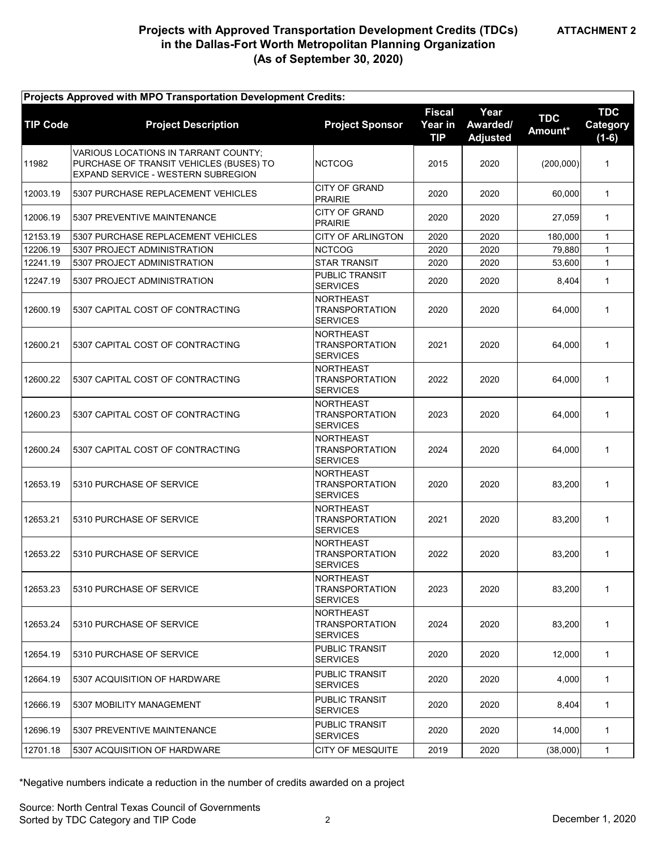| Projects Approved with MPO Transportation Development Credits: |                                                                                                                       |                                                              |                                        |                                     |                       |                                   |  |  |
|----------------------------------------------------------------|-----------------------------------------------------------------------------------------------------------------------|--------------------------------------------------------------|----------------------------------------|-------------------------------------|-----------------------|-----------------------------------|--|--|
| <b>TIP Code</b>                                                | <b>Project Description</b>                                                                                            | <b>Project Sponsor</b>                                       | <b>Fiscal</b><br>Year in<br><b>TIP</b> | Year<br>Awarded/<br><b>Adjusted</b> | <b>TDC</b><br>Amount* | <b>TDC</b><br>Category<br>$(1-6)$ |  |  |
| 11982                                                          | VARIOUS LOCATIONS IN TARRANT COUNTY;<br>PURCHASE OF TRANSIT VEHICLES (BUSES) TO<br>EXPAND SERVICE - WESTERN SUBREGION | <b>NCTCOG</b>                                                | 2015                                   | 2020                                | (200,000)             | $\mathbf{1}$                      |  |  |
| 12003.19                                                       | 5307 PURCHASE REPLACEMENT VEHICLES                                                                                    | CITY OF GRAND<br><b>PRAIRIE</b>                              | 2020                                   | 2020                                | 60,000                | $\mathbf{1}$                      |  |  |
| 12006.19                                                       | 5307 PREVENTIVE MAINTENANCE                                                                                           | <b>CITY OF GRAND</b><br><b>PRAIRIE</b>                       | 2020                                   | 2020                                | 27.059                | $\mathbf{1}$                      |  |  |
| 12153.19                                                       | 5307 PURCHASE REPLACEMENT VEHICLES                                                                                    | <b>CITY OF ARLINGTON</b>                                     | 2020                                   | 2020                                | 180,000               | $\mathbf{1}$                      |  |  |
| 12206.19                                                       | 5307 PROJECT ADMINISTRATION                                                                                           | <b>NCTCOG</b>                                                | 2020                                   | 2020                                | 79,880                | $\mathbf{1}$                      |  |  |
| 12241.19                                                       | 5307 PROJECT ADMINISTRATION                                                                                           | <b>STAR TRANSIT</b>                                          | 2020                                   | 2020                                | 53,600                | $\mathbf{1}$                      |  |  |
| 12247.19                                                       | 5307 PROJECT ADMINISTRATION                                                                                           | PUBLIC TRANSIT<br><b>SERVICES</b>                            | 2020                                   | 2020                                | 8,404                 | $\mathbf{1}$                      |  |  |
| 12600.19                                                       | 5307 CAPITAL COST OF CONTRACTING                                                                                      | <b>NORTHEAST</b><br><b>TRANSPORTATION</b><br><b>SERVICES</b> | 2020                                   | 2020                                | 64,000                | $\mathbf{1}$                      |  |  |
| 12600.21                                                       | 5307 CAPITAL COST OF CONTRACTING                                                                                      | <b>NORTHEAST</b><br>TRANSPORTATION<br><b>SERVICES</b>        | 2021                                   | 2020                                | 64,000                | $\mathbf{1}$                      |  |  |
| 12600.22                                                       | 5307 CAPITAL COST OF CONTRACTING                                                                                      | <b>NORTHEAST</b><br><b>TRANSPORTATION</b><br><b>SERVICES</b> | 2022                                   | 2020                                | 64,000                | $\mathbf{1}$                      |  |  |
| 12600.23                                                       | 5307 CAPITAL COST OF CONTRACTING                                                                                      | <b>NORTHEAST</b><br><b>TRANSPORTATION</b><br><b>SERVICES</b> | 2023                                   | 2020                                | 64,000                | $\mathbf{1}$                      |  |  |
| 12600.24                                                       | 5307 CAPITAL COST OF CONTRACTING                                                                                      | <b>NORTHEAST</b><br><b>TRANSPORTATION</b><br><b>SERVICES</b> | 2024                                   | 2020                                | 64,000                | $\mathbf{1}$                      |  |  |
| 12653.19                                                       | 5310 PURCHASE OF SERVICE                                                                                              | <b>NORTHEAST</b><br>TRANSPORTATION<br><b>SERVICES</b>        | 2020                                   | 2020                                | 83,200                | $\mathbf{1}$                      |  |  |
| 12653.21                                                       | 5310 PURCHASE OF SERVICE                                                                                              | <b>NORTHEAST</b><br><b>TRANSPORTATION</b><br><b>SERVICES</b> | 2021                                   | 2020                                | 83,200                | $\mathbf{1}$                      |  |  |
| 12653.22                                                       | 5310 PURCHASE OF SERVICE                                                                                              | <b>NORTHEAST</b><br><b>TRANSPORTATION</b><br><b>SERVICES</b> | 2022                                   | 2020                                | 83,200                | 1                                 |  |  |
| 12653.23                                                       | 5310 PURCHASE OF SERVICE                                                                                              | NORTHEAST<br><b>TRANSPORTATION</b><br><b>SERVICES</b>        | 2023                                   | 2020                                | 83.200                | $\mathbf{1}$                      |  |  |
| 12653.24                                                       | 5310 PURCHASE OF SERVICE                                                                                              | NORTHEAST<br><b>TRANSPORTATION</b><br><b>SERVICES</b>        | 2024                                   | 2020                                | 83,200                | $\mathbf{1}$                      |  |  |
| 12654.19                                                       | 5310 PURCHASE OF SERVICE                                                                                              | PUBLIC TRANSIT<br><b>SERVICES</b>                            | 2020                                   | 2020                                | 12,000                | $\mathbf{1}$                      |  |  |
| 12664.19                                                       | 5307 ACQUISITION OF HARDWARE                                                                                          | PUBLIC TRANSIT<br>SERVICES                                   | 2020                                   | 2020                                | 4,000                 | $\mathbf{1}$                      |  |  |
| 12666.19                                                       | 5307 MOBILITY MANAGEMENT                                                                                              | PUBLIC TRANSIT<br><b>SERVICES</b>                            | 2020                                   | 2020                                | 8,404                 | 1                                 |  |  |
| 12696.19                                                       | 5307 PREVENTIVE MAINTENANCE                                                                                           | PUBLIC TRANSIT<br><b>SERVICES</b>                            | 2020                                   | 2020                                | 14,000                | 1                                 |  |  |
| 12701.18                                                       | 5307 ACQUISITION OF HARDWARE                                                                                          | <b>CITY OF MESQUITE</b>                                      | 2019                                   | 2020                                | (38,000)              | 1                                 |  |  |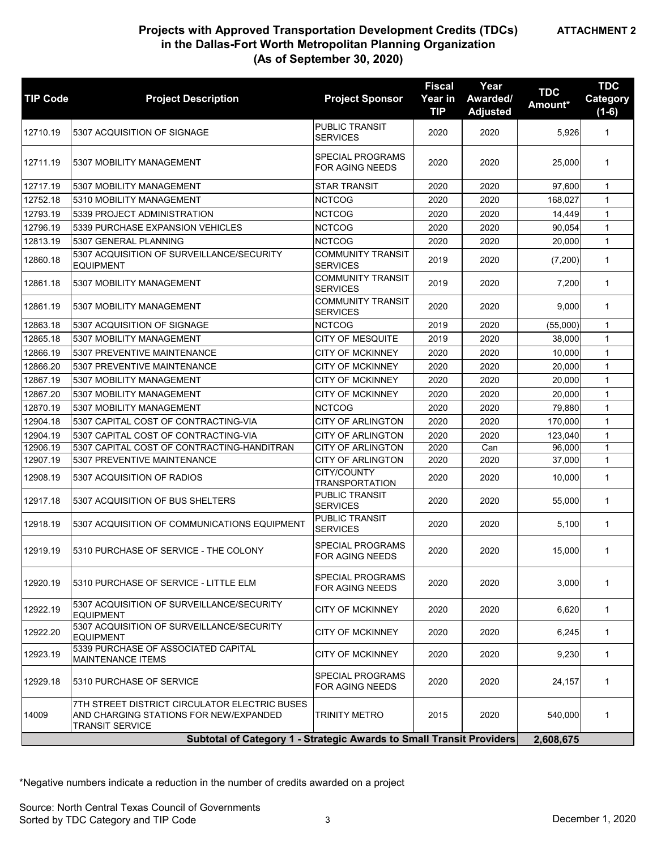| <b>TIP Code</b>                                                                   | <b>Project Description</b>                                                                                        | <b>Project Sponsor</b>                      | <b>Fiscal</b><br>Year in<br><b>TIP</b> | Year<br>Awarded/<br><b>Adjusted</b> | <b>TDC</b><br>Amount* | <b>TDC</b><br>Category<br>$(1-6)$ |
|-----------------------------------------------------------------------------------|-------------------------------------------------------------------------------------------------------------------|---------------------------------------------|----------------------------------------|-------------------------------------|-----------------------|-----------------------------------|
| 12710.19                                                                          | 5307 ACQUISITION OF SIGNAGE                                                                                       | PUBLIC TRANSIT<br><b>SERVICES</b>           | 2020                                   | 2020                                | 5,926                 | $\mathbf{1}$                      |
| 12711.19                                                                          | 5307 MOBILITY MANAGEMENT                                                                                          | SPECIAL PROGRAMS<br>FOR AGING NEEDS         | 2020                                   | 2020                                | 25,000                | $\mathbf{1}$                      |
| 12717.19                                                                          | 5307 MOBILITY MANAGEMENT                                                                                          | <b>STAR TRANSIT</b>                         | 2020                                   | 2020                                | 97,600                | $\mathbf{1}$                      |
| 12752.18                                                                          | 5310 MOBILITY MANAGEMENT                                                                                          | <b>NCTCOG</b>                               | 2020                                   | 2020                                | 168,027               | $\mathbf{1}$                      |
| 12793.19                                                                          | 5339 PROJECT ADMINISTRATION                                                                                       | <b>NCTCOG</b>                               | 2020                                   | 2020                                | 14,449                | $\mathbf{1}$                      |
| 12796.19                                                                          | 5339 PURCHASE EXPANSION VEHICLES                                                                                  | <b>NCTCOG</b>                               | 2020                                   | 2020                                | 90,054                | $\mathbf{1}$                      |
| 12813.19                                                                          | 5307 GENERAL PLANNING                                                                                             | <b>NCTCOG</b>                               | 2020                                   | 2020                                | 20,000                | $\mathbf{1}$                      |
| 12860.18                                                                          | 5307 ACQUISITION OF SURVEILLANCE/SECURITY<br><b>EQUIPMENT</b>                                                     | <b>COMMUNITY TRANSIT</b><br><b>SERVICES</b> | 2019                                   | 2020                                | (7,200)               | $\mathbf{1}$                      |
| 12861.18                                                                          | 5307 MOBILITY MANAGEMENT                                                                                          | <b>COMMUNITY TRANSIT</b><br><b>SERVICES</b> | 2019                                   | 2020                                | 7,200                 | $\mathbf{1}$                      |
| 12861.19                                                                          | 5307 MOBILITY MANAGEMENT                                                                                          | <b>COMMUNITY TRANSIT</b><br><b>SERVICES</b> | 2020                                   | 2020                                | 9,000                 | $\mathbf{1}$                      |
| 12863.18                                                                          | 5307 ACQUISITION OF SIGNAGE                                                                                       | <b>NCTCOG</b>                               | 2019                                   | 2020                                | (55,000)              | $\mathbf{1}$                      |
| 12865.18                                                                          | 5307 MOBILITY MANAGEMENT                                                                                          | <b>CITY OF MESQUITE</b>                     | 2019                                   | 2020                                | 38,000                | $\mathbf{1}$                      |
| 12866.19                                                                          | 5307 PREVENTIVE MAINTENANCE                                                                                       | <b>CITY OF MCKINNEY</b>                     | 2020                                   | 2020                                | 10,000                | $\mathbf{1}$                      |
| 12866.20                                                                          | 5307 PREVENTIVE MAINTENANCE                                                                                       | <b>CITY OF MCKINNEY</b>                     | 2020                                   | 2020                                | 20,000                | $\mathbf{1}$                      |
| 12867.19                                                                          | 5307 MOBILITY MANAGEMENT                                                                                          | <b>CITY OF MCKINNEY</b>                     | 2020                                   | 2020                                | 20,000                | $\mathbf{1}$                      |
| 12867.20                                                                          | 5307 MOBILITY MANAGEMENT                                                                                          | <b>CITY OF MCKINNEY</b>                     | 2020                                   | 2020                                | 20,000                | $\mathbf{1}$                      |
| 12870.19                                                                          | 5307 MOBILITY MANAGEMENT                                                                                          | <b>NCTCOG</b>                               | 2020                                   | 2020                                | 79,880                | $\mathbf{1}$                      |
| 12904.18                                                                          | 5307 CAPITAL COST OF CONTRACTING-VIA                                                                              | <b>CITY OF ARLINGTON</b>                    | 2020                                   | 2020                                | 170,000               | $\mathbf{1}$                      |
| 12904.19                                                                          | 5307 CAPITAL COST OF CONTRACTING-VIA                                                                              | <b>CITY OF ARLINGTON</b>                    | 2020                                   | 2020                                | 123,040               | $\mathbf{1}$                      |
| 12906.19                                                                          | 5307 CAPITAL COST OF CONTRACTING-HANDITRAN                                                                        | <b>CITY OF ARLINGTON</b>                    | 2020                                   | Can                                 | 96,000                | $\mathbf{1}$                      |
| 12907.19                                                                          | 5307 PREVENTIVE MAINTENANCE                                                                                       | CITY OF ARLINGTON                           | 2020                                   | 2020                                | 37,000                | $\mathbf{1}$                      |
| 12908.19                                                                          | 5307 ACQUISITION OF RADIOS                                                                                        | CITY/COUNTY<br><b>TRANSPORTATION</b>        | 2020                                   | 2020                                | 10,000                | $\mathbf{1}$                      |
| 12917.18                                                                          | 5307 ACQUISITION OF BUS SHELTERS                                                                                  | PUBLIC TRANSIT<br><b>SERVICES</b>           | 2020                                   | 2020                                | 55,000                | $\mathbf{1}$                      |
| 12918.19                                                                          | 5307 ACQUISITION OF COMMUNICATIONS EQUIPMENT                                                                      | PUBLIC TRANSIT<br><b>SERVICES</b>           | 2020                                   | 2020                                | 5,100                 | $\mathbf{1}$                      |
| 12919.19                                                                          | 5310 PURCHASE OF SERVICE - THE COLONY                                                                             | SPECIAL PROGRAMS<br>FOR AGING NEEDS         | 2020                                   | 2020                                | 15,000                | $\mathbf{1}$                      |
| 12920.19                                                                          | 5310 PURCHASE OF SERVICE - LITTLE ELM                                                                             | SPECIAL PROGRAMS<br>FOR AGING NEEDS         | 2020                                   | 2020                                | 3,000                 | $\mathbf{1}$                      |
| 12922.19                                                                          | 5307 ACQUISITION OF SURVEILLANCE/SECURITY<br><b>EQUIPMENT</b>                                                     | <b>CITY OF MCKINNEY</b>                     | 2020                                   | 2020                                | 6,620                 | $\mathbf{1}$                      |
| 12922.20                                                                          | 5307 ACQUISITION OF SURVEILLANCE/SECURITY<br><b>EQUIPMENT</b>                                                     | CITY OF MCKINNEY                            | 2020                                   | 2020                                | 6,245                 | $\mathbf{1}$                      |
| 12923.19                                                                          | 5339 PURCHASE OF ASSOCIATED CAPITAL<br><b>MAINTENANCE ITEMS</b>                                                   | CITY OF MCKINNEY                            | 2020                                   | 2020                                | 9,230                 | $\mathbf{1}$                      |
| 12929.18                                                                          | 5310 PURCHASE OF SERVICE                                                                                          | SPECIAL PROGRAMS<br>FOR AGING NEEDS         | 2020                                   | 2020                                | 24,157                | $\mathbf{1}$                      |
| 14009                                                                             | 7TH STREET DISTRICT CIRCULATOR ELECTRIC BUSES<br>AND CHARGING STATIONS FOR NEW/EXPANDED<br><b>TRANSIT SERVICE</b> | TRINITY METRO                               | 2015                                   | 2020                                | 540,000               | $\mathbf{1}$                      |
| Subtotal of Category 1 - Strategic Awards to Small Transit Providers<br>2,608,675 |                                                                                                                   |                                             |                                        |                                     |                       |                                   |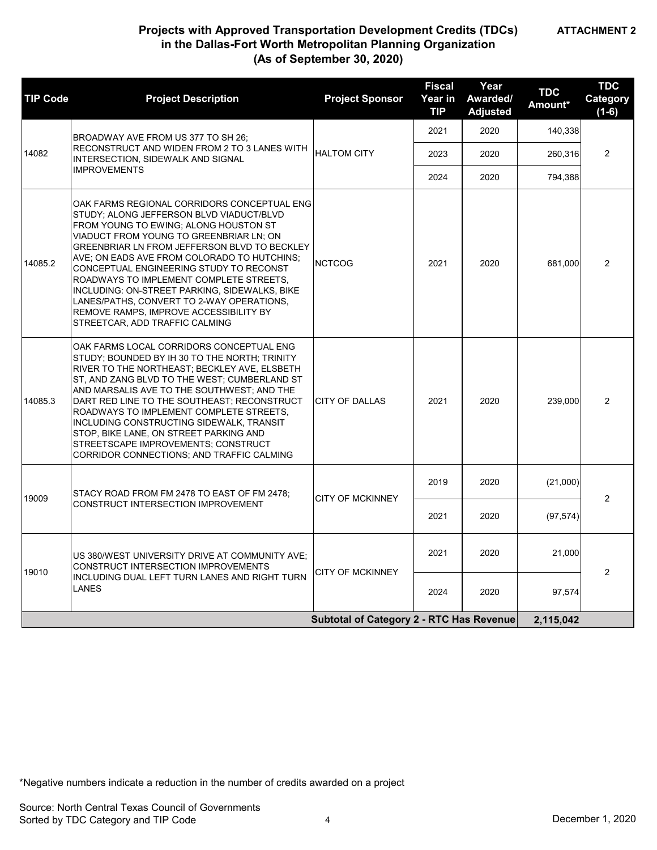#### **ATTACHMENT 2**

# **Projects with Approved Transportation Development Credits (TDCs) in the Dallas-Fort Worth Metropolitan Planning Organization (As of September 30, 2020)**

| <b>TIP Code</b> | <b>Project Description</b>                                                                                                                                                                                                                                                                                                                                                                                                                                                                                                                 | <b>Project Sponsor</b>  | <b>Fiscal</b><br>Year in<br><b>TIP</b> | Year<br>Awarded/<br><b>Adjusted</b>              | <b>TDC</b><br>Amount* | <b>TDC</b><br>Category<br>$(1-6)$ |
|-----------------|--------------------------------------------------------------------------------------------------------------------------------------------------------------------------------------------------------------------------------------------------------------------------------------------------------------------------------------------------------------------------------------------------------------------------------------------------------------------------------------------------------------------------------------------|-------------------------|----------------------------------------|--------------------------------------------------|-----------------------|-----------------------------------|
|                 | BROADWAY AVE FROM US 377 TO SH 26:<br>RECONSTRUCT AND WIDEN FROM 2 TO 3 LANES WITH<br>INTERSECTION, SIDEWALK AND SIGNAL<br><b>IMPROVEMENTS</b>                                                                                                                                                                                                                                                                                                                                                                                             | <b>HALTOM CITY</b>      | 2021                                   | 2020                                             | 140,338               | $\overline{2}$                    |
| 14082           |                                                                                                                                                                                                                                                                                                                                                                                                                                                                                                                                            |                         | 2023                                   | 2020                                             | 260,316               |                                   |
|                 |                                                                                                                                                                                                                                                                                                                                                                                                                                                                                                                                            |                         | 2024                                   | 2020                                             | 794,388               |                                   |
| 14085.2         | OAK FARMS REGIONAL CORRIDORS CONCEPTUAL ENG<br>STUDY; ALONG JEFFERSON BLVD VIADUCT/BLVD<br>FROM YOUNG TO EWING; ALONG HOUSTON ST<br>VIADUCT FROM YOUNG TO GREENBRIAR LN; ON<br>GREENBRIAR LN FROM JEFFERSON BLVD TO BECKLEY<br>AVE; ON EADS AVE FROM COLORADO TO HUTCHINS;<br>CONCEPTUAL ENGINEERING STUDY TO RECONST<br>ROADWAYS TO IMPLEMENT COMPLETE STREETS.<br>INCLUDING: ON-STREET PARKING, SIDEWALKS, BIKE<br>LANES/PATHS, CONVERT TO 2-WAY OPERATIONS,<br>REMOVE RAMPS, IMPROVE ACCESSIBILITY BY<br>STREETCAR, ADD TRAFFIC CALMING | <b>NCTCOG</b>           | 2021                                   | 2020                                             | 681,000               | $\overline{2}$                    |
| 14085.3         | OAK FARMS LOCAL CORRIDORS CONCEPTUAL ENG<br>STUDY; BOUNDED BY IH 30 TO THE NORTH; TRINITY<br>RIVER TO THE NORTHEAST; BECKLEY AVE, ELSBETH<br>ST, AND ZANG BLVD TO THE WEST; CUMBERLAND ST<br>AND MARSALIS AVE TO THE SOUTHWEST; AND THE<br>DART RED LINE TO THE SOUTHEAST; RECONSTRUCT<br>ROADWAYS TO IMPLEMENT COMPLETE STREETS.<br>INCLUDING CONSTRUCTING SIDEWALK, TRANSIT<br>STOP, BIKE LANE, ON STREET PARKING AND<br>STREETSCAPE IMPROVEMENTS; CONSTRUCT<br>CORRIDOR CONNECTIONS; AND TRAFFIC CALMING                                | <b>CITY OF DALLAS</b>   | 2021                                   | 2020                                             | 239,000               | $\overline{2}$                    |
|                 | STACY ROAD FROM FM 2478 TO EAST OF FM 2478;                                                                                                                                                                                                                                                                                                                                                                                                                                                                                                | <b>CITY OF MCKINNEY</b> | 2019                                   | 2020                                             | (21,000)              | $\overline{2}$                    |
| 19009           | CONSTRUCT INTERSECTION IMPROVEMENT                                                                                                                                                                                                                                                                                                                                                                                                                                                                                                         |                         | 2021                                   | 2020                                             | (97, 574)             |                                   |
| 19010           | US 380/WEST UNIVERSITY DRIVE AT COMMUNITY AVE;<br><b>CONSTRUCT INTERSECTION IMPROVEMENTS</b>                                                                                                                                                                                                                                                                                                                                                                                                                                               | <b>CITY OF MCKINNEY</b> | 2021                                   | 2020                                             | 21,000                | $\overline{2}$                    |
|                 | INCLUDING DUAL LEFT TURN LANES AND RIGHT TURN<br>LANES                                                                                                                                                                                                                                                                                                                                                                                                                                                                                     |                         | 2024                                   | 2020<br>Subtotal of Category 2 - RTC Has Revenue | 97,574                |                                   |
|                 | 2,115,042                                                                                                                                                                                                                                                                                                                                                                                                                                                                                                                                  |                         |                                        |                                                  |                       |                                   |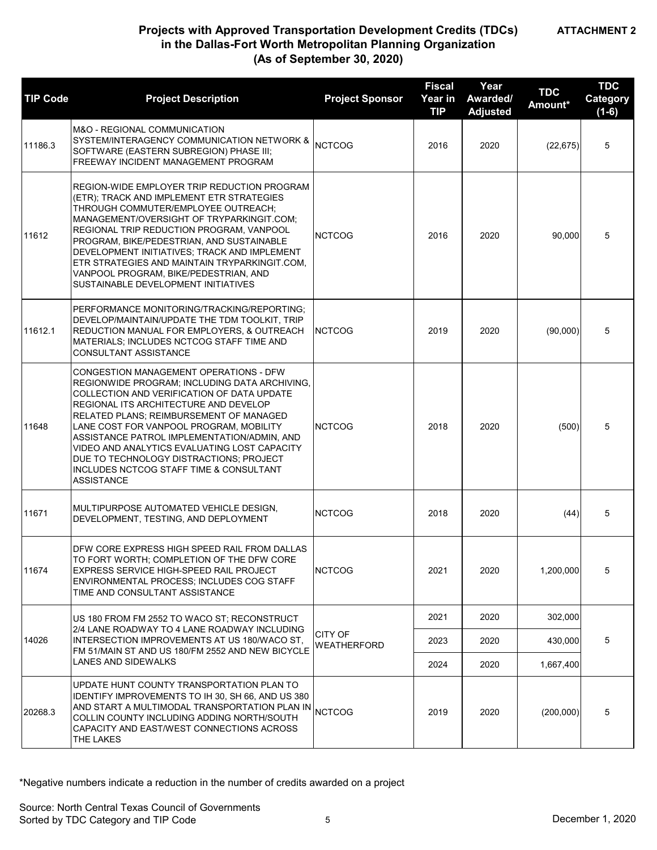| <b>TIP Code</b> | <b>Project Description</b>                                                                                                                                                                                                                                                                                                                                                                                                                                                     | <b>Project Sponsor</b> | <b>Fiscal</b><br>Year in<br><b>TIP</b> | Year<br>Awarded/<br><b>Adjusted</b> | <b>TDC</b><br>Amount* | <b>TDC</b><br>Category<br>$(1-6)$ |
|-----------------|--------------------------------------------------------------------------------------------------------------------------------------------------------------------------------------------------------------------------------------------------------------------------------------------------------------------------------------------------------------------------------------------------------------------------------------------------------------------------------|------------------------|----------------------------------------|-------------------------------------|-----------------------|-----------------------------------|
| 11186.3         | M&O - REGIONAL COMMUNICATION<br>SYSTEM/INTERAGENCY COMMUNICATION NETWORK &<br>SOFTWARE (EASTERN SUBREGION) PHASE III;<br>FREEWAY INCIDENT MANAGEMENT PROGRAM                                                                                                                                                                                                                                                                                                                   | <b>NCTCOG</b>          | 2016                                   | 2020                                | (22, 675)             | 5                                 |
| 11612           | REGION-WIDE EMPLOYER TRIP REDUCTION PROGRAM<br>(ETR); TRACK AND IMPLEMENT ETR STRATEGIES<br>THROUGH COMMUTER/EMPLOYEE OUTREACH;<br>MANAGEMENT/OVERSIGHT OF TRYPARKINGIT.COM;<br>REGIONAL TRIP REDUCTION PROGRAM, VANPOOL<br>PROGRAM, BIKE/PEDESTRIAN, AND SUSTAINABLE<br>DEVELOPMENT INITIATIVES; TRACK AND IMPLEMENT<br>ETR STRATEGIES AND MAINTAIN TRYPARKINGIT.COM,<br>VANPOOL PROGRAM, BIKE/PEDESTRIAN, AND<br>SUSTAINABLE DEVELOPMENT INITIATIVES                         | <b>NCTCOG</b>          | 2016                                   | 2020                                | 90,000                | 5                                 |
| 11612.1         | PERFORMANCE MONITORING/TRACKING/REPORTING;<br>DEVELOP/MAINTAIN/UPDATE THE TDM TOOLKIT, TRIP<br>REDUCTION MANUAL FOR EMPLOYERS, & OUTREACH<br>MATERIALS; INCLUDES NCTCOG STAFF TIME AND<br><b>CONSULTANT ASSISTANCE</b>                                                                                                                                                                                                                                                         | <b>NCTCOG</b>          | 2019                                   | 2020                                | (90,000)              | 5                                 |
| 11648           | CONGESTION MANAGEMENT OPERATIONS - DFW<br>REGIONWIDE PROGRAM; INCLUDING DATA ARCHIVING,<br>COLLECTION AND VERIFICATION OF DATA UPDATE<br>REGIONAL ITS ARCHITECTURE AND DEVELOP<br>RELATED PLANS; REIMBURSEMENT OF MANAGED<br>LANE COST FOR VANPOOL PROGRAM, MOBILITY<br>ASSISTANCE PATROL IMPLEMENTATION/ADMIN, AND<br>VIDEO AND ANALYTICS EVALUATING LOST CAPACITY<br>DUE TO TECHNOLOGY DISTRACTIONS; PROJECT<br>INCLUDES NCTCOG STAFF TIME & CONSULTANT<br><b>ASSISTANCE</b> | <b>NCTCOG</b>          | 2018                                   | 2020                                | (500)                 | 5                                 |
| 11671           | MULTIPURPOSE AUTOMATED VEHICLE DESIGN.<br>DEVELOPMENT, TESTING, AND DEPLOYMENT                                                                                                                                                                                                                                                                                                                                                                                                 | <b>NCTCOG</b>          | 2018                                   | 2020                                | (44)                  | 5                                 |
| 11674           | DFW CORE EXPRESS HIGH SPEED RAIL FROM DALLAS<br>TO FORT WORTH; COMPLETION OF THE DFW CORE<br>EXPRESS SERVICE HIGH-SPEED RAIL PROJECT<br>ENVIRONMENTAL PROCESS; INCLUDES COG STAFF<br>TIME AND CONSULTANT ASSISTANCE                                                                                                                                                                                                                                                            | <b>NCTCOG</b>          | 2021                                   | 2020                                | 1,200,000             | 5                                 |
|                 | US 180 FROM FM 2552 TO WACO ST; RECONSTRUCT                                                                                                                                                                                                                                                                                                                                                                                                                                    |                        | 2021                                   | 2020                                | 302,000               |                                   |
| 14026           | 2/4 LANE ROADWAY TO 4 LANE ROADWAY INCLUDING<br>INTERSECTION IMPROVEMENTS AT US 180/WACO ST.<br>FM 51/MAIN ST AND US 180/FM 2552 AND NEW BICYCLE                                                                                                                                                                                                                                                                                                                               | CITY OF<br>WEATHERFORD | 2023                                   | 2020                                | 430.000               | 5                                 |
|                 | LANES AND SIDEWALKS                                                                                                                                                                                                                                                                                                                                                                                                                                                            |                        | 2024                                   | 2020                                | 1,667,400             |                                   |
| 20268.3         | UPDATE HUNT COUNTY TRANSPORTATION PLAN TO<br>IDENTIFY IMPROVEMENTS TO IH 30, SH 66, AND US 380<br>AND START A MULTIMODAL TRANSPORTATION PLAN IN<br>COLLIN COUNTY INCLUDING ADDING NORTH/SOUTH<br>CAPACITY AND EAST/WEST CONNECTIONS ACROSS<br>THE LAKES                                                                                                                                                                                                                        | <b>NCTCOG</b>          | 2019                                   | 2020                                | (200,000)             | 5                                 |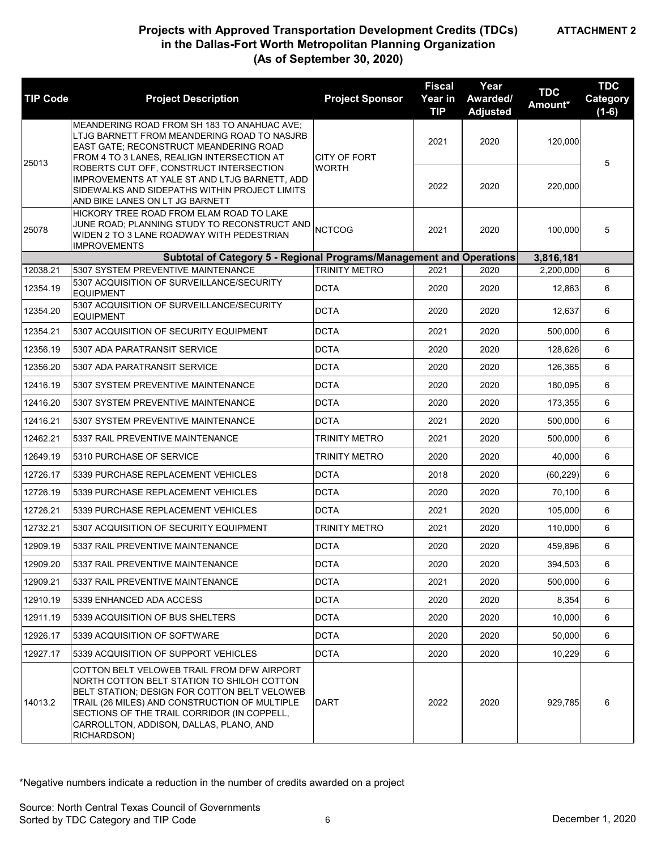#### **ATTACHMENT 2**

# **Projects with Approved Transportation Development Credits (TDCs) in the Dallas-Fort Worth Metropolitan Planning Organization (As of September 30, 2020)**

| <b>TIP Code</b> | <b>Project Description</b>                                                                                                                                                                                                                                                                         | <b>Project Sponsor</b>              | <b>Fiscal</b><br>Year in<br><b>TIP</b> | Year<br>Awarded/<br><b>Adjusted</b> | <b>TDC</b><br>Amount* | <b>TDC</b><br>Category<br>$(1-6)$ |
|-----------------|----------------------------------------------------------------------------------------------------------------------------------------------------------------------------------------------------------------------------------------------------------------------------------------------------|-------------------------------------|----------------------------------------|-------------------------------------|-----------------------|-----------------------------------|
| 25013           | MEANDERING ROAD FROM SH 183 TO ANAHUAC AVE;<br>LTJG BARNETT FROM MEANDERING ROAD TO NASJRB<br>EAST GATE; RECONSTRUCT MEANDERING ROAD<br>FROM 4 TO 3 LANES, REALIGN INTERSECTION AT                                                                                                                 | <b>CITY OF FORT</b><br><b>WORTH</b> | 2021                                   | 2020                                | 120,000               | 5                                 |
|                 | ROBERTS CUT OFF, CONSTRUCT INTERSECTION<br>IMPROVEMENTS AT YALE ST AND LTJG BARNETT, ADD<br>SIDEWALKS AND SIDEPATHS WITHIN PROJECT LIMITS<br>AND BIKE LANES ON LT JG BARNETT                                                                                                                       |                                     | 2022                                   | 2020                                | 220,000               |                                   |
| 25078           | HICKORY TREE ROAD FROM ELAM ROAD TO LAKE<br>JUNE ROAD; PLANNING STUDY TO RECONSTRUCT AND<br>WIDEN 2 TO 3 LANE ROADWAY WITH PEDESTRIAN<br><b>IMPROVEMENTS</b>                                                                                                                                       | <b>NCTCOG</b>                       | 2021                                   | 2020                                | 100.000               | 5                                 |
|                 | Subtotal of Category 5 - Regional Programs/Management and Operations                                                                                                                                                                                                                               |                                     |                                        |                                     | 3,816,181             |                                   |
| 12038.21        | 5307 SYSTEM PREVENTIVE MAINTENANCE                                                                                                                                                                                                                                                                 | TRINITY METRO                       | 2021                                   | 2020                                | 2,200,000             | 6                                 |
| 12354.19        | 5307 ACQUISITION OF SURVEILLANCE/SECURITY<br><b>EQUIPMENT</b>                                                                                                                                                                                                                                      | <b>DCTA</b>                         | 2020                                   | 2020                                | 12,863                | 6                                 |
| 12354.20        | 5307 ACQUISITION OF SURVEILLANCE/SECURITY<br><b>EQUIPMENT</b>                                                                                                                                                                                                                                      | <b>DCTA</b>                         | 2020                                   | 2020                                | 12,637                | 6                                 |
| 12354.21        | 5307 ACQUISITION OF SECURITY EQUIPMENT                                                                                                                                                                                                                                                             | <b>DCTA</b>                         | 2021                                   | 2020                                | 500,000               | 6                                 |
| 12356.19        | 5307 ADA PARATRANSIT SERVICE                                                                                                                                                                                                                                                                       | <b>DCTA</b>                         | 2020                                   | 2020                                | 128.626               | 6                                 |
| 12356.20        | 5307 ADA PARATRANSIT SERVICE                                                                                                                                                                                                                                                                       | <b>DCTA</b>                         | 2020                                   | 2020                                | 126,365               | 6                                 |
| 12416.19        | 5307 SYSTEM PREVENTIVE MAINTENANCE                                                                                                                                                                                                                                                                 | <b>DCTA</b>                         | 2020                                   | 2020                                | 180,095               | 6                                 |
| 12416.20        | 5307 SYSTEM PREVENTIVE MAINTENANCE                                                                                                                                                                                                                                                                 | <b>DCTA</b>                         | 2020                                   | 2020                                | 173,355               | 6                                 |
| 12416.21        | 5307 SYSTEM PREVENTIVE MAINTENANCE                                                                                                                                                                                                                                                                 | <b>DCTA</b>                         | 2021                                   | 2020                                | 500,000               | 6                                 |
| 12462.21        | 5337 RAIL PREVENTIVE MAINTENANCE                                                                                                                                                                                                                                                                   | <b>TRINITY METRO</b>                | 2021                                   | 2020                                | 500,000               | 6                                 |
| 12649.19        | 5310 PURCHASE OF SERVICE                                                                                                                                                                                                                                                                           | <b>TRINITY METRO</b>                | 2020                                   | 2020                                | 40,000                | 6                                 |
| 12726.17        | 5339 PURCHASE REPLACEMENT VEHICLES                                                                                                                                                                                                                                                                 | <b>DCTA</b>                         | 2018                                   | 2020                                | (60, 229)             | 6                                 |
| 12726.19        | 5339 PURCHASE REPLACEMENT VEHICLES                                                                                                                                                                                                                                                                 | <b>DCTA</b>                         | 2020                                   | 2020                                | 70,100                | 6                                 |
| 12726.21        | 5339 PURCHASE REPLACEMENT VEHICLES                                                                                                                                                                                                                                                                 | <b>DCTA</b>                         | 2021                                   | 2020                                | 105,000               | 6                                 |
| 12732.21        | 5307 ACQUISITION OF SECURITY EQUIPMENT                                                                                                                                                                                                                                                             | TRINITY METRO                       | 2021                                   | 2020                                | 110,000               | 6                                 |
| 12909.19        | 5337 RAIL PREVENTIVE MAINTENANCE                                                                                                                                                                                                                                                                   | <b>DCTA</b>                         | 2020                                   | 2020                                | 459,896               | 6                                 |
| 12909.20        | 5337 RAIL PREVENTIVE MAINTENANCE                                                                                                                                                                                                                                                                   | <b>DCTA</b>                         | 2020                                   | 2020                                | 394,503               | 6                                 |
| 12909.21        | 5337 RAIL PREVENTIVE MAINTENANCE                                                                                                                                                                                                                                                                   | <b>DCTA</b>                         | 2021                                   | 2020                                | 500,000               | 6                                 |
| 12910.19        | 5339 ENHANCED ADA ACCESS                                                                                                                                                                                                                                                                           | <b>DCTA</b>                         | 2020                                   | 2020                                | 8,354                 | 6                                 |
| 12911.19        | 5339 ACQUISITION OF BUS SHELTERS                                                                                                                                                                                                                                                                   | <b>DCTA</b>                         | 2020                                   | 2020                                | 10,000                | 6                                 |
| 12926.17        | 5339 ACQUISITION OF SOFTWARE                                                                                                                                                                                                                                                                       | <b>DCTA</b>                         | 2020                                   | 2020                                | 50,000                | 6                                 |
| 12927.17        | 5339 ACQUISITION OF SUPPORT VEHICLES                                                                                                                                                                                                                                                               | <b>DCTA</b>                         | 2020                                   | 2020                                | 10,229                | 6                                 |
| 14013.2         | COTTON BELT VELOWEB TRAIL FROM DFW AIRPORT<br>NORTH COTTON BELT STATION TO SHILOH COTTON<br>BELT STATION; DESIGN FOR COTTON BELT VELOWEB<br>TRAIL (26 MILES) AND CONSTRUCTION OF MULTIPLE<br>SECTIONS OF THE TRAIL CORRIDOR (IN COPPELL,<br>CARROLLTON, ADDISON, DALLAS, PLANO, AND<br>RICHARDSON) | DART                                | 2022                                   | 2020                                | 929,785               | 6                                 |